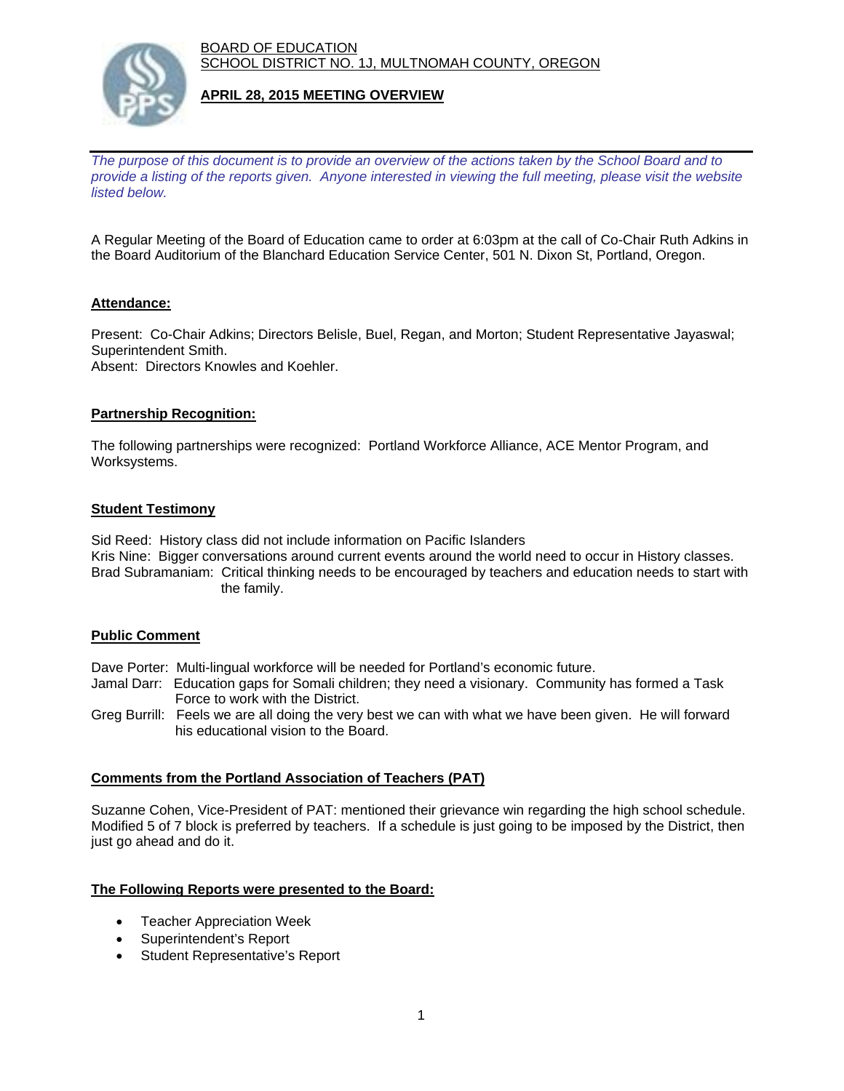BOARD OF EDUCATION SCHOOL DISTRICT NO. 1J, MULTNOMAH COUNTY, OREGON



## **APRIL 28, 2015 MEETING OVERVIEW**

*The purpose of this document is to provide an overview of the actions taken by the School Board and to provide a listing of the reports given. Anyone interested in viewing the full meeting, please visit the website listed below.* 

A Regular Meeting of the Board of Education came to order at 6:03pm at the call of Co-Chair Ruth Adkins in the Board Auditorium of the Blanchard Education Service Center, 501 N. Dixon St, Portland, Oregon.

# **Attendance:**

Present: Co-Chair Adkins; Directors Belisle, Buel, Regan, and Morton; Student Representative Jayaswal; Superintendent Smith. Absent: Directors Knowles and Koehler.

## **Partnership Recognition:**

The following partnerships were recognized: Portland Workforce Alliance, ACE Mentor Program, and Worksystems.

#### **Student Testimony**

Sid Reed: History class did not include information on Pacific Islanders Kris Nine: Bigger conversations around current events around the world need to occur in History classes. Brad Subramaniam: Critical thinking needs to be encouraged by teachers and education needs to start with the family.

#### **Public Comment**

Dave Porter: Multi-lingual workforce will be needed for Portland's economic future.

- Jamal Darr: Education gaps for Somali children; they need a visionary. Community has formed a Task Force to work with the District.
- Greg Burrill: Feels we are all doing the very best we can with what we have been given. He will forward his educational vision to the Board.

#### **Comments from the Portland Association of Teachers (PAT)**

Suzanne Cohen, Vice-President of PAT: mentioned their grievance win regarding the high school schedule. Modified 5 of 7 block is preferred by teachers. If a schedule is just going to be imposed by the District, then just go ahead and do it.

#### **The Following Reports were presented to the Board:**

- Teacher Appreciation Week
- Superintendent's Report
- Student Representative's Report